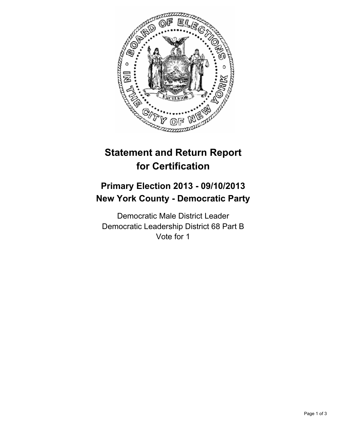

# **Statement and Return Report for Certification**

## **Primary Election 2013 - 09/10/2013 New York County - Democratic Party**

Democratic Male District Leader Democratic Leadership District 68 Part B Vote for 1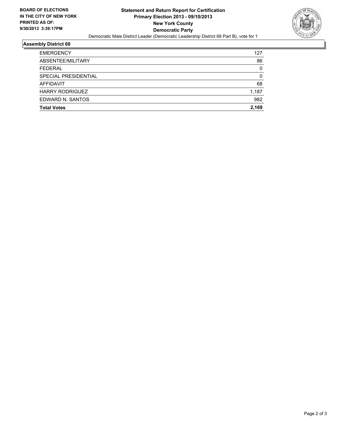

#### **Assembly District 68**

| <b>Total Votes</b>     | 2.169    |
|------------------------|----------|
| EDWARD N. SANTOS       | 982      |
| <b>HARRY RODRIGUEZ</b> | 1,187    |
| AFFIDAVIT              | 68       |
| SPECIAL PRESIDENTIAL   | 0        |
| <b>FEDERAL</b>         | $\Omega$ |
| ABSENTEE/MILITARY      | 86       |
| <b>EMERGENCY</b>       | 127      |
|                        |          |